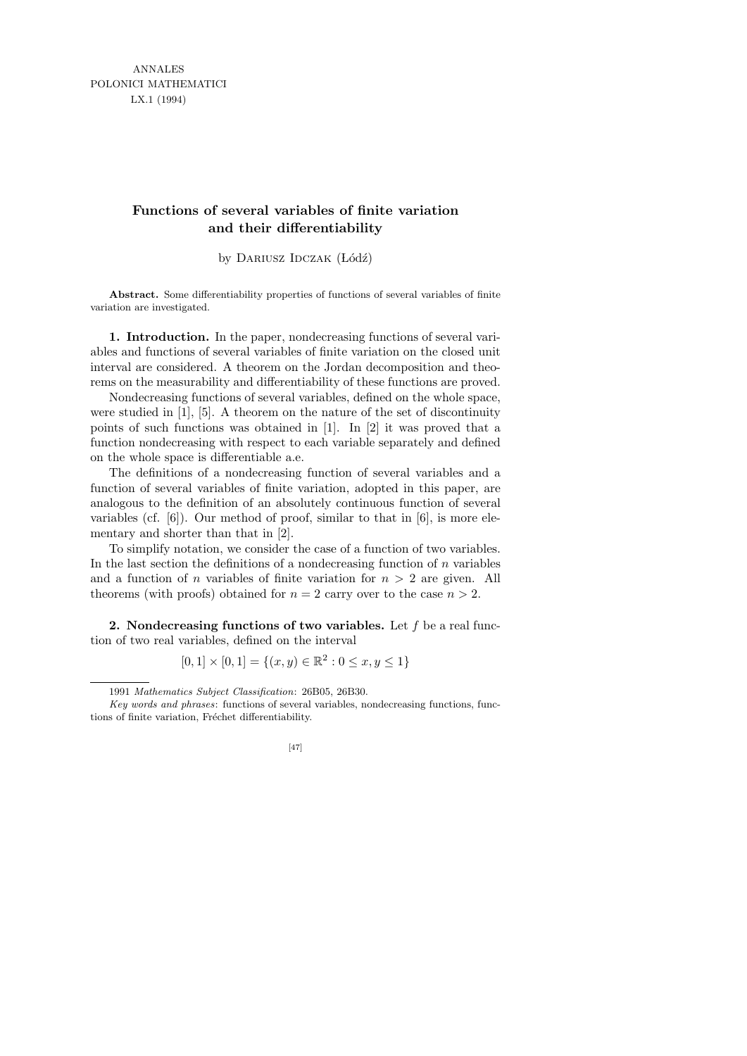ANNALES POLONICI MATHEMATICI LX.1 (1994)

## **Functions of several variables of finite variation and their differentiability**

by DARIUSZ IDCZAK (Łódź)

**Abstract.** Some differentiability properties of functions of several variables of finite variation are investigated.

1. Introduction. In the paper, nondecreasing functions of several variables and functions of several variables of finite variation on the closed unit interval are considered. A theorem on the Jordan decomposition and theorems on the measurability and differentiability of these functions are proved.

Nondecreasing functions of several variables, defined on the whole space, were studied in [1], [5]. A theorem on the nature of the set of discontinuity points of such functions was obtained in [1]. In [2] it was proved that a function nondecreasing with respect to each variable separately and defined on the whole space is differentiable a.e.

The definitions of a nondecreasing function of several variables and a function of several variables of finite variation, adopted in this paper, are analogous to the definition of an absolutely continuous function of several variables (cf. [6]). Our method of proof, similar to that in [6], is more elementary and shorter than that in [2].

To simplify notation, we consider the case of a function of two variables. In the last section the definitions of a nondecreasing function of  $n$  variables and a function of n variables of finite variation for  $n > 2$  are given. All theorems (with proofs) obtained for  $n = 2$  carry over to the case  $n > 2$ .

2. Nondecreasing functions of two variables. Let  $f$  be a real function of two real variables, defined on the interval

$$
[0,1] \times [0,1] = \{(x,y) \in \mathbb{R}^2 : 0 \le x, y \le 1\}
$$

*Key words and phrases*: functions of several variables, nondecreasing functions, functions of finite variation, Fréchet differentiability.



<sup>1991</sup> *Mathematics Subject Classification*: 26B05, 26B30.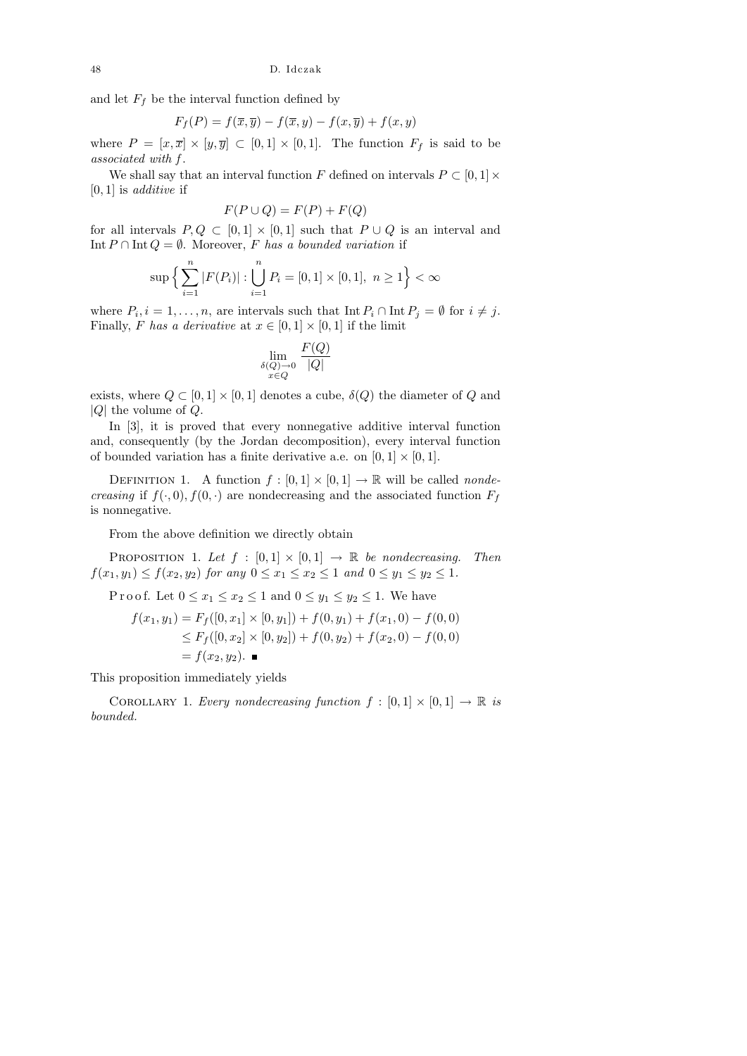and let  $F_f$  be the interval function defined by

$$
F_f(P) = f(\overline{x}, \overline{y}) - f(\overline{x}, y) - f(x, \overline{y}) + f(x, y)
$$

where  $P = [x, \overline{x}] \times [y, \overline{y}] \subset [0, 1] \times [0, 1]$ . The function  $F_f$  is said to be associated with f .

We shall say that an interval function F defined on intervals  $P \subset [0,1] \times$  $[0, 1]$  is *additive* if

$$
F(P \cup Q) = F(P) + F(Q)
$$

for all intervals  $P, Q \subset [0, 1] \times [0, 1]$  such that  $P \cup Q$  is an interval and Int  $P \cap \text{Int } Q = \emptyset$ . Moreover, F has a bounded variation if

$$
\sup \Big\{ \sum_{i=1}^{n} |F(P_i)| : \bigcup_{i=1}^{n} P_i = [0,1] \times [0,1], \ n \ge 1 \Big\} < \infty
$$

where  $P_i, i = 1, \ldots, n$ , are intervals such that  $\text{Int } P_i \cap \text{Int } P_j = \emptyset$  for  $i \neq j$ . Finally, F has a derivative at  $x \in [0,1] \times [0,1]$  if the limit

$$
\lim_{\substack{\delta(Q)\to0\\x\in Q}}\frac{F(Q)}{|Q|}
$$

exists, where  $Q \subset [0,1] \times [0,1]$  denotes a cube,  $\delta(Q)$  the diameter of Q and  $|Q|$  the volume of  $Q$ .

In [3], it is proved that every nonnegative additive interval function and, consequently (by the Jordan decomposition), every interval function of bounded variation has a finite derivative a.e. on  $[0, 1] \times [0, 1]$ .

DEFINITION 1. A function  $f : [0,1] \times [0,1] \rightarrow \mathbb{R}$  will be called *nondecreasing* if  $f(\cdot, 0), f(0, \cdot)$  are nondecreasing and the associated function  $F_f$ is nonnegative.

From the above definition we directly obtain

PROPOSITION 1. Let  $f : [0,1] \times [0,1] \rightarrow \mathbb{R}$  be nondecreasing. Then  $f(x_1, y_1) \le f(x_2, y_2)$  for any  $0 \le x_1 \le x_2 \le 1$  and  $0 \le y_1 \le y_2 \le 1$ .

P r o o f. Let  $0 \le x_1 \le x_2 \le 1$  and  $0 \le y_1 \le y_2 \le 1$ . We have

$$
f(x_1, y_1) = F_f([0, x_1] \times [0, y_1]) + f(0, y_1) + f(x_1, 0) - f(0, 0)
$$
  
\n
$$
\leq F_f([0, x_2] \times [0, y_2]) + f(0, y_2) + f(x_2, 0) - f(0, 0)
$$
  
\n
$$
= f(x_2, y_2). \blacksquare
$$

This proposition immediately yields

COROLLARY 1. Every nondecreasing function  $f : [0,1] \times [0,1] \rightarrow \mathbb{R}$  is bounded.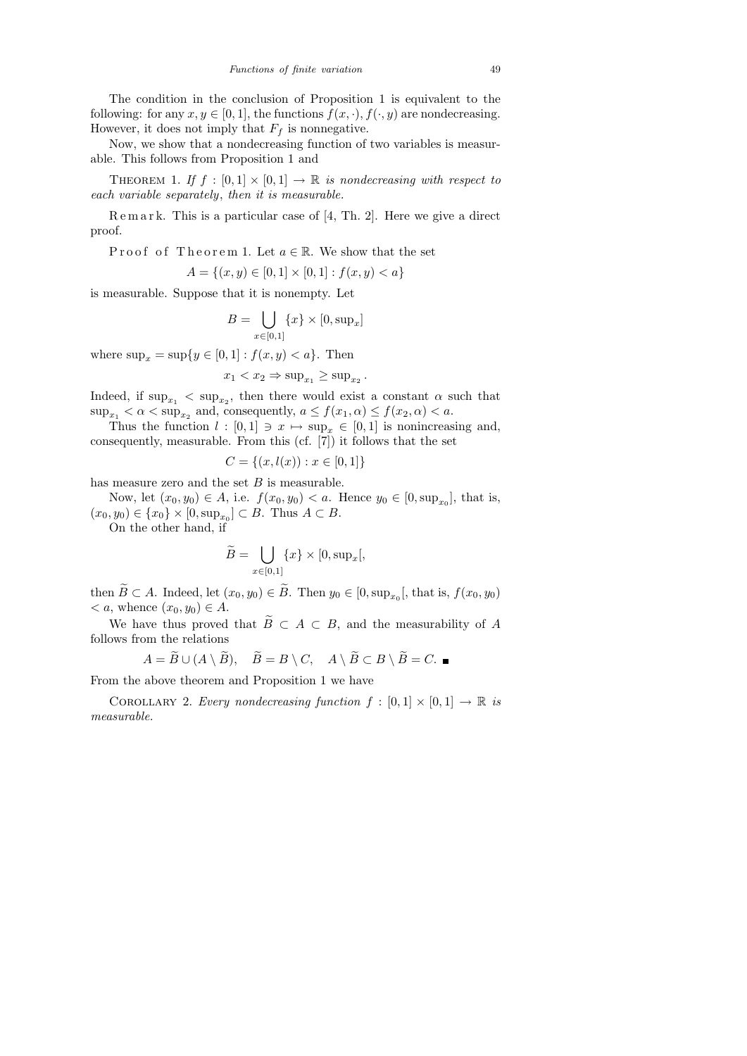The condition in the conclusion of Proposition 1 is equivalent to the following: for any  $x, y \in [0, 1]$ , the functions  $f(x, \cdot), f(\cdot, y)$  are nondecreasing. However, it does not imply that  $F_f$  is nonnegative.

Now, we show that a nondecreasing function of two variables is measurable. This follows from Proposition 1 and

THEOREM 1. If  $f : [0,1] \times [0,1] \rightarrow \mathbb{R}$  is nondecreasing with respect to each variable separately, then it is measurable.

 $R$  e m a r k. This is a particular case of [4, Th. 2]. Here we give a direct proof.

Proof of Theorem 1. Let  $a \in \mathbb{R}$ . We show that the set

$$
A = \{(x, y) \in [0, 1] \times [0, 1] : f(x, y) < a\}
$$

is measurable. Suppose that it is nonempty. Let

$$
B = \bigcup_{x \in [0,1]} \{x\} \times [0, \sup_x]
$$

where  $\sup_x = \sup\{y \in [0,1] : f(x,y) < a\}$ . Then

$$
x_1 < x_2 \Rightarrow \sup_{x_1} \ge \sup_{x_2}.
$$

Indeed, if  $\sup_{x_1}$  <  $\sup_{x_2}$ , then there would exist a constant  $\alpha$  such that  $\sup_{x_1} < \alpha < \sup_{x_2} \text{ and, consequently, } a \le f(x_1, \alpha) \le f(x_2, \alpha) < a.$ 

Thus the function  $l : [0,1] \ni x \mapsto \sup_x \in [0,1]$  is nonincreasing and, consequently, measurable. From this (cf. [7]) it follows that the set

$$
C = \{(x, l(x)) : x \in [0, 1]\}
$$

has measure zero and the set  $B$  is measurable.

Now, let  $(x_0, y_0) \in A$ , i.e.  $f(x_0, y_0) < a$ . Hence  $y_0 \in [0, \sup_{x_0}]$ , that is,  $(x_0, y_0) \in \{x_0\} \times [0, \sup_{x_0}] \subset B$ . Thus  $A \subset B$ .

On the other hand, if

$$
\widetilde{B} = \bigcup_{x \in [0,1]} \{x\} \times [0, \sup_x[,
$$

then  $B \subset A$ . Indeed, let  $(x_0, y_0) \in B$ . Then  $y_0 \in [0, \sup_{x_0} [$ , that is,  $f(x_0, y_0)$  $\langle a, \text{ whence } (x_0, y_0) \in A.$ 

We have thus proved that  $\widetilde{B} \subset A \subset B$ , and the measurability of A follows from the relations

$$
A = \widetilde{B} \cup (A \setminus \widetilde{B}), \quad \widetilde{B} = B \setminus C, \quad A \setminus \widetilde{B} \subset B \setminus \widetilde{B} = C. \blacksquare
$$

From the above theorem and Proposition 1 we have

COROLLARY 2. Every nondecreasing function  $f : [0,1] \times [0,1] \rightarrow \mathbb{R}$  is measurable.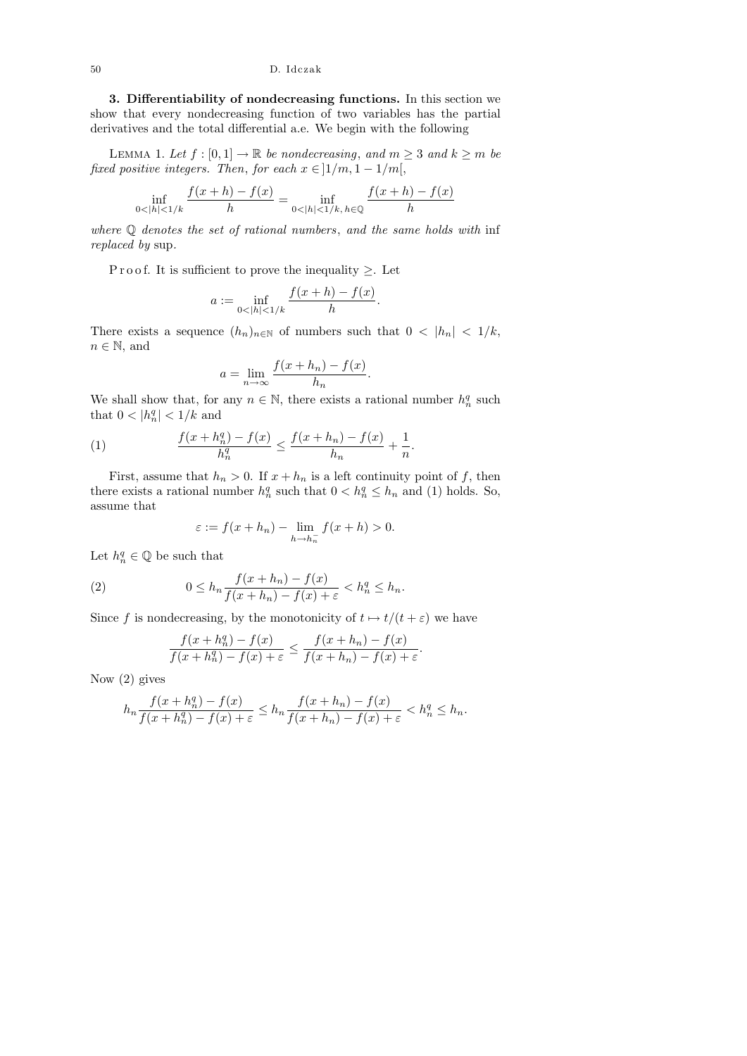## 50 D. Idczak

3. Differentiability of nondecreasing functions. In this section we show that every nondecreasing function of two variables has the partial derivatives and the total differential a.e. We begin with the following

LEMMA 1. Let  $f : [0,1] \to \mathbb{R}$  be nondecreasing, and  $m \geq 3$  and  $k \geq m$  be fixed positive integers. Then, for each  $x \in \lbrack 1/m, 1-1/m \rbrack$ ,

$$
\inf_{0 < |h| < 1/k} \frac{f(x+h) - f(x)}{h} = \inf_{0 < |h| < 1/k, h \in \mathbb{Q}} \frac{f(x+h) - f(x)}{h}
$$

where Q denotes the set of rational numbers, and the same holds with inf replaced by sup.

P r o o f. It is sufficient to prove the inequality  $\geq$ . Let

$$
a := \inf_{0 < |h| < 1/k} \frac{f(x+h) - f(x)}{h}.
$$

There exists a sequence  $(h_n)_{n\in\mathbb{N}}$  of numbers such that  $0 < |h_n| < 1/k$ ,  $n \in \mathbb{N}$ , and

$$
a = \lim_{n \to \infty} \frac{f(x + h_n) - f(x)}{h_n}.
$$

We shall show that, for any  $n \in \mathbb{N}$ , there exists a rational number  $h_n^q$  such that  $0 < |h_n^q| < 1/k$  and

(1) 
$$
\frac{f(x+h_n^q) - f(x)}{h_n^q} \le \frac{f(x+h_n) - f(x)}{h_n} + \frac{1}{n}.
$$

First, assume that  $h_n > 0$ . If  $x + h_n$  is a left continuity point of f, then there exists a rational number  $h_n^q$  such that  $0 < h_n^q \leq h_n$  and (1) holds. So, assume that

$$
\varepsilon := f(x + h_n) - \lim_{h \to h_n^-} f(x + h) > 0.
$$

Let  $h_n^q \in \mathbb{Q}$  be such that

(2) 
$$
0 \le h_n \frac{f(x+h_n) - f(x)}{f(x+h_n) - f(x) + \varepsilon} < h_n^q \le h_n.
$$

Since f is nondecreasing, by the monotonicity of  $t \mapsto t/(t + \varepsilon)$  we have

$$
\frac{f(x+h_n^q)-f(x)}{f(x+h_n^q)-f(x)+\varepsilon} \le \frac{f(x+h_n)-f(x)}{f(x+h_n)-f(x)+\varepsilon}.
$$

Now (2) gives

$$
h_n \frac{f(x+h_n^q)-f(x)}{f(x+h_n^q)-f(x)+\varepsilon} \le h_n \frac{f(x+h_n)-f(x)}{f(x+h_n)-f(x)+\varepsilon} < h_n^q \le h_n.
$$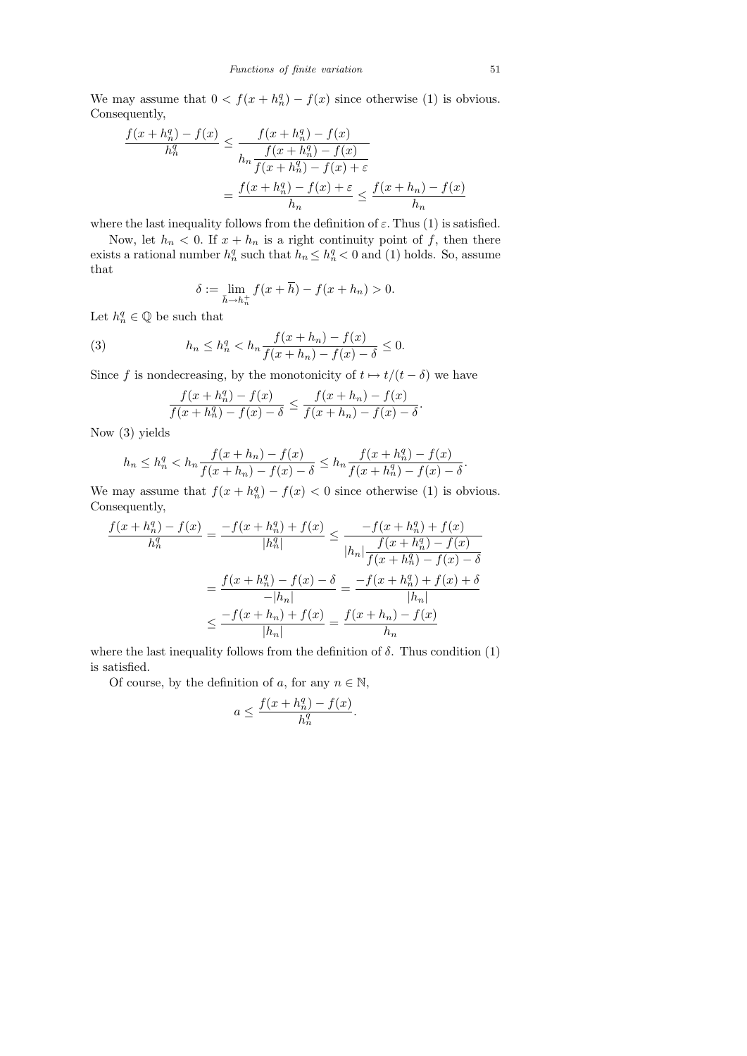We may assume that  $0 < f(x + h_n^q) - f(x)$  since otherwise (1) is obvious. Consequently,

$$
\frac{f(x + h_n^q) - f(x)}{h_n^q} \le \frac{f(x + h_n^q) - f(x)}{h_n \frac{f(x + h_n^q) - f(x)}{f(x + h_n^q) - f(x) + \varepsilon}} = \frac{f(x + h_n^q) - f(x) + \varepsilon}{h_n} \le \frac{f(x + h_n) - f(x)}{h_n}
$$

where the last inequality follows from the definition of  $\varepsilon$ . Thus (1) is satisfied.

Now, let  $h_n < 0$ . If  $x + h_n$  is a right continuity point of f, then there exists a rational number  $h_n^q$  such that  $h_n \leq h_n^q < 0$  and (1) holds. So, assume that

$$
\delta := \lim_{\bar{h} \to h_n^+} f(x + \bar{h}) - f(x + h_n) > 0.
$$

Let  $h_n^q \in \mathbb{Q}$  be such that

(3) 
$$
h_n \le h_n^q < h_n \frac{f(x+h_n) - f(x)}{f(x+h_n) - f(x) - \delta} \le 0.
$$

Since f is nondecreasing, by the monotonicity of  $t \mapsto t/(t - \delta)$  we have

$$
\frac{f(x+h_n^q) - f(x)}{f(x+h_n^q) - f(x) - \delta} \le \frac{f(x+h_n) - f(x)}{f(x+h_n) - f(x) - \delta}.
$$

Now (3) yields

$$
h_n \le h_n^q < h_n \frac{f(x + h_n) - f(x)}{f(x + h_n) - f(x) - \delta} \le h_n \frac{f(x + h_n^q) - f(x)}{f(x + h_n^q) - f(x) - \delta}
$$

We may assume that  $f(x + h_n^q) - f(x) < 0$  since otherwise (1) is obvious. Consequently,

$$
\frac{f(x+h_n^q) - f(x)}{h_n^q} = \frac{-f(x+h_n^q) + f(x)}{|h_n^q|} \le \frac{-f(x+h_n^q) + f(x)}{|h_n| \frac{f(x+h_n^q) - f(x)}{f(x+h_n^q) - f(x) - \delta}}
$$

$$
= \frac{f(x+h_n^q) - f(x) - \delta}{-|h_n|} = \frac{-f(x+h_n^q) + f(x) + \delta}{|h_n|}
$$

$$
\le \frac{-f(x+h_n) + f(x)}{|h_n|} = \frac{f(x+h_n) - f(x)}{h_n}
$$

where the last inequality follows from the definition of  $\delta$ . Thus condition (1) is satisfied.

Of course, by the definition of a, for any  $n \in \mathbb{N}$ ,

$$
a \le \frac{f(x + h_n^q) - f(x)}{h_n^q}
$$

.

.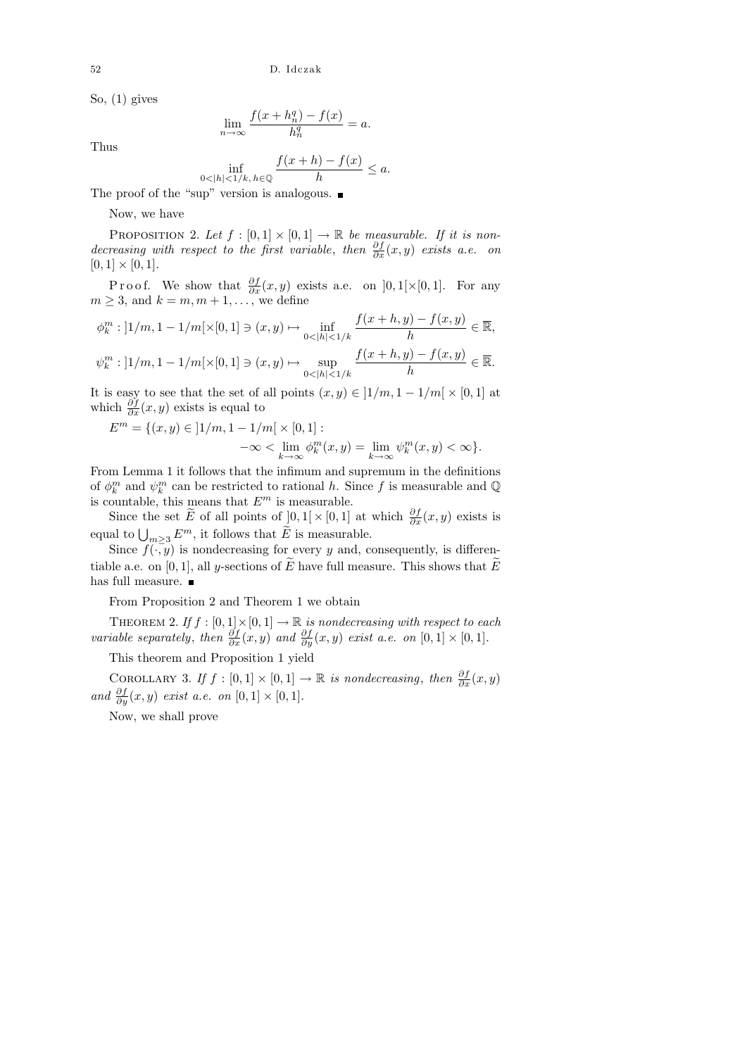So, (1) gives

$$
\lim_{n \to \infty} \frac{f(x + h_n^q) - f(x)}{h_n^q} = a.
$$

Thus

$$
\inf_{0 < |h| < 1/k, h \in \mathbb{Q}} \frac{f(x+h) - f(x)}{h} \le a.
$$

The proof of the "sup" version is analogous.

Now, we have

PROPOSITION 2. Let  $f : [0,1] \times [0,1] \rightarrow \mathbb{R}$  be measurable. If it is nondecreasing with respect to the first variable, then  $\frac{\partial f}{\partial x}(x, y)$  exists a.e. on  $[0, 1] \times [0, 1].$ 

P r o o f. We show that  $\frac{\partial f}{\partial x}(x, y)$  exists a.e. on  $]0, 1[\times[0, 1]$ . For any  $m \geq 3$ , and  $k = m, m + 1, \ldots$ , we define

$$
\phi_k^m : ]1/m, 1 - 1/m[ \times [0, 1] \ni (x, y) \mapsto \inf_{0 < |h| < 1/k} \frac{f(x+h, y) - f(x, y)}{h} \in \overline{\mathbb{R}},
$$
\n
$$
\psi_k^m : ]1/m, 1 - 1/m[ \times [0, 1] \ni (x, y) \mapsto \sup_{0 < |h| < 1/k} \frac{f(x+h, y) - f(x, y)}{h} \in \overline{\mathbb{R}}.
$$

It is easy to see that the set of all points  $(x, y) \in ]1/m, 1 - 1/m[ \times [0, 1]$  at which  $\frac{\partial f}{\partial x}(x, y)$  exists is equal to

$$
E^{m} = \{(x, y) \in ]1/m, 1 - 1/m[ \times [0, 1] :-\infty < \lim_{k \to \infty} \phi_{k}^{m}(x, y) = \lim_{k \to \infty} \psi_{k}^{m}(x, y) < \infty \}.
$$

From Lemma 1 it follows that the infimum and supremum in the definitions of  $\phi_k^m$  and  $\psi_k^m$  can be restricted to rational h. Since f is measurable and Q is countable, this means that  $E^m$  is measurable.

Since the set  $\widetilde{E}$  of all points of  $[0,1] \times [0,1]$  at which  $\frac{\partial f}{\partial x}(x,y)$  exists is equal to  $\bigcup_{m\geq 3} E^m$ , it follows that  $\widetilde{E}$  is measurable.

Since  $f(\cdot, y)$  is nondecreasing for every y and, consequently, is differentiable a.e. on [0, 1], all y-sections of  $\widetilde{E}$  have full measure. This shows that  $\widetilde{E}$ has full measure.  $\blacksquare$ 

From Proposition 2 and Theorem 1 we obtain

THEOREM 2. If  $f : [0,1] \times [0,1] \to \mathbb{R}$  is nondecreasing with respect to each variable separately, then  $\frac{\partial f}{\partial x}(x, y)$  and  $\frac{\partial f}{\partial y}(x, y)$  exist a.e. on  $[0, 1] \times [0, 1]$ .

This theorem and Proposition 1 yield

COROLLARY 3. If  $f : [0,1] \times [0,1] \rightarrow \mathbb{R}$  is nondecreasing, then  $\frac{\partial f}{\partial x}(x, y)$ and  $\frac{\partial f}{\partial y}(x, y)$  exist a.e. on  $[0, 1] \times [0, 1]$ .

Now, we shall prove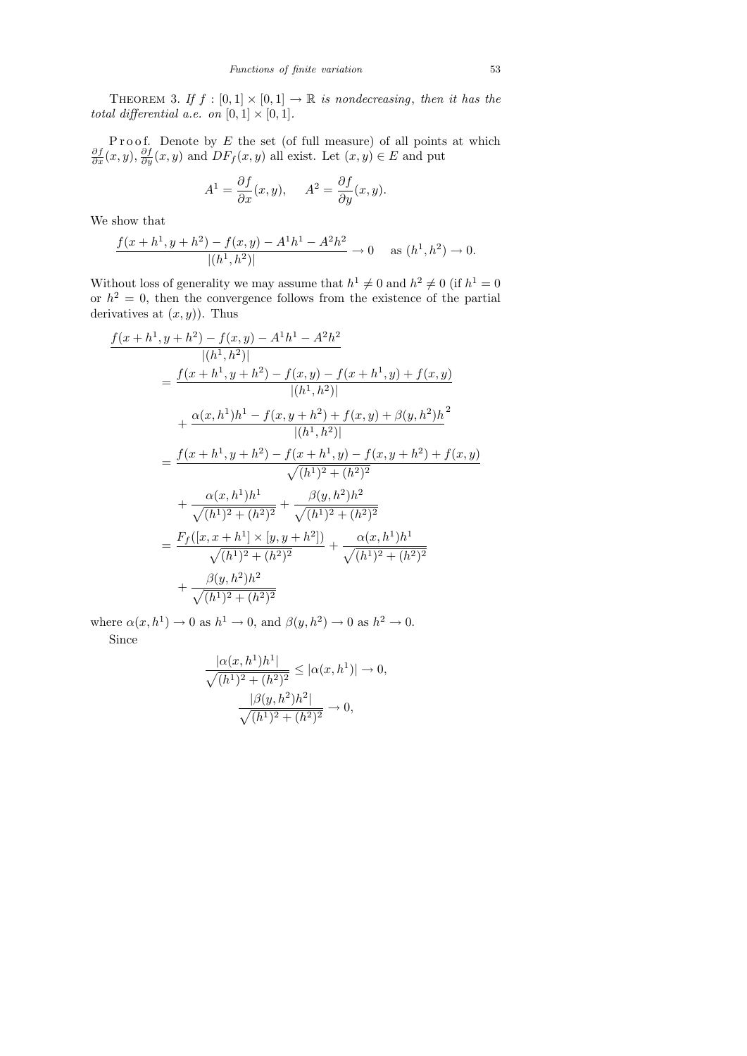THEOREM 3. If  $f : [0,1] \times [0,1] \rightarrow \mathbb{R}$  is nondecreasing, then it has the total differential a.e. on  $[0, 1] \times [0, 1]$ .

P r o o f. Denote by E the set (of full measure) of all points at which  $\frac{\partial f}{\partial x}(x, y), \frac{\partial f}{\partial y}(x, y)$  and  $DF_f(x, y)$  all exist. Let  $(x, y) \in E$  and put

$$
A^{1} = \frac{\partial f}{\partial x}(x, y), \quad A^{2} = \frac{\partial f}{\partial y}(x, y).
$$

We show that

$$
\frac{f(x+h^1, y+h^2) - f(x, y) - A^1 h^1 - A^2 h^2}{|(h^1, h^2)|} \to 0 \quad \text{as } (h^1, h^2) \to 0.
$$

Without loss of generality we may assume that  $h^1 \neq 0$  and  $h^2 \neq 0$  (if  $h^1 = 0$ ) or  $h^2 = 0$ , then the convergence follows from the existence of the partial derivatives at  $(x, y)$ ). Thus

$$
\frac{f(x+h^1, y+h^2) - f(x, y) - A^1 h^1 - A^2 h^2}{|(h^1, h^2)|}
$$
\n
$$
= \frac{f(x+h^1, y+h^2) - f(x, y) - f(x+h^1, y) + f(x, y)}{|(h^1, h^2)|}
$$
\n
$$
+ \frac{\alpha(x, h^1)h^1 - f(x, y+h^2) + f(x, y) + \beta(y, h^2)h^2}{|(h^1, h^2)|}
$$
\n
$$
= \frac{f(x+h^1, y+h^2) - f(x+h^1, y) - f(x, y+h^2) + f(x, y)}{\sqrt{(h^1)^2 + (h^2)^2}}
$$
\n
$$
+ \frac{\alpha(x, h^1)h^1}{\sqrt{(h^1)^2 + (h^2)^2}} + \frac{\beta(y, h^2)h^2}{\sqrt{(h^1)^2 + (h^2)^2}}
$$
\n
$$
= \frac{F_f([x, x+h^1] \times [y, y+h^2])}{\sqrt{(h^1)^2 + (h^2)^2}} + \frac{\alpha(x, h^1)h^1}{\sqrt{(h^1)^2 + (h^2)^2}}
$$
\n
$$
+ \frac{\beta(y, h^2)h^2}{\sqrt{(h^1)^2 + (h^2)^2}}
$$

where  $\alpha(x, h^1) \to 0$  as  $h^1 \to 0$ , and  $\beta(y, h^2) \to 0$  as  $h^2 \to 0$ . Since

$$
\frac{|\alpha(x,h^1)h^1|}{\sqrt{(h^1)^2 + (h^2)^2}} \leq |\alpha(x,h^1)| \to 0,
$$

$$
\frac{|\beta(y,h^2)h^2|}{\sqrt{(h^1)^2 + (h^2)^2}} \to 0,
$$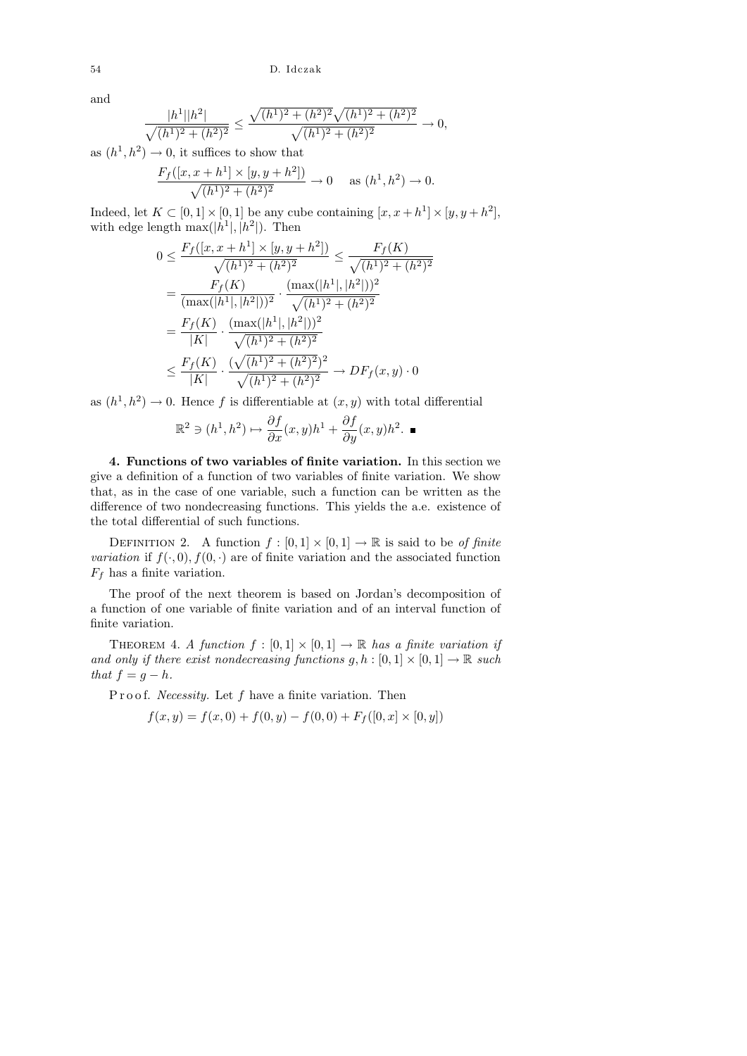and

$$
\frac{|h^1||h^2|}{\sqrt{(h^1)^2 + (h^2)^2}} \le \frac{\sqrt{(h^1)^2 + (h^2)^2}\sqrt{(h^1)^2 + (h^2)^2}}{\sqrt{(h^1)^2 + (h^2)^2}} \to 0,
$$

as  $(h^1, h^2) \rightarrow 0$ , it suffices to show that

$$
\frac{F_f([x, x+h^1] \times [y, y+h^2])}{\sqrt{(h^1)^2 + (h^2)^2}} \to 0 \quad \text{as } (h^1, h^2) \to 0.
$$

Indeed, let  $K \subset [0,1] \times [0,1]$  be any cube containing  $[x, x+h^1] \times [y, y+h^2]$ , with edge length  $\max(|h^1|, |h^2|)$ . Then

$$
0 \leq \frac{F_f([x, x + h^1] \times [y, y + h^2])}{\sqrt{(h^1)^2 + (h^2)^2}} \leq \frac{F_f(K)}{\sqrt{(h^1)^2 + (h^2)^2}}
$$
  
= 
$$
\frac{F_f(K)}{(\max(|h^1|, |h^2|))^2} \cdot \frac{(\max(|h^1|, |h^2|))^2}{\sqrt{(h^1)^2 + (h^2)^2}}
$$
  
= 
$$
\frac{F_f(K)}{|K|} \cdot \frac{(\max(|h^1|, |h^2|))^2}{\sqrt{(h^1)^2 + (h^2)^2}}
$$
  

$$
\leq \frac{F_f(K)}{|K|} \cdot \frac{(\sqrt{(h^1)^2 + (h^2)^2})^2}{\sqrt{(h^1)^2 + (h^2)^2}} \to DF_f(x, y) \cdot 0
$$

as  $(h<sup>1</sup>, h<sup>2</sup>) \rightarrow 0$ . Hence f is differentiable at  $(x, y)$  with total differential

$$
\mathbb{R}^2 \ni (h^1, h^2) \mapsto \frac{\partial f}{\partial x}(x, y)h^1 + \frac{\partial f}{\partial y}(x, y)h^2. \blacksquare
$$

4. Functions of two variables of finite variation. In this section we give a definition of a function of two variables of finite variation. We show that, as in the case of one variable, such a function can be written as the difference of two nondecreasing functions. This yields the a.e. existence of the total differential of such functions.

DEFINITION 2. A function  $f : [0,1] \times [0,1] \rightarrow \mathbb{R}$  is said to be of finite variation if  $f(\cdot, 0)$ ,  $f(0, \cdot)$  are of finite variation and the associated function  $F_f$  has a finite variation.

The proof of the next theorem is based on Jordan's decomposition of a function of one variable of finite variation and of an interval function of finite variation.

THEOREM 4. A function  $f : [0,1] \times [0,1] \rightarrow \mathbb{R}$  has a finite variation if and only if there exist nondecreasing functions  $g, h : [0, 1] \times [0, 1] \rightarrow \mathbb{R}$  such that  $f = g - h$ .

P r o o f. *Necessity*. Let  $f$  have a finite variation. Then

$$
f(x, y) = f(x, 0) + f(0, y) - f(0, 0) + F_f([0, x] \times [0, y])
$$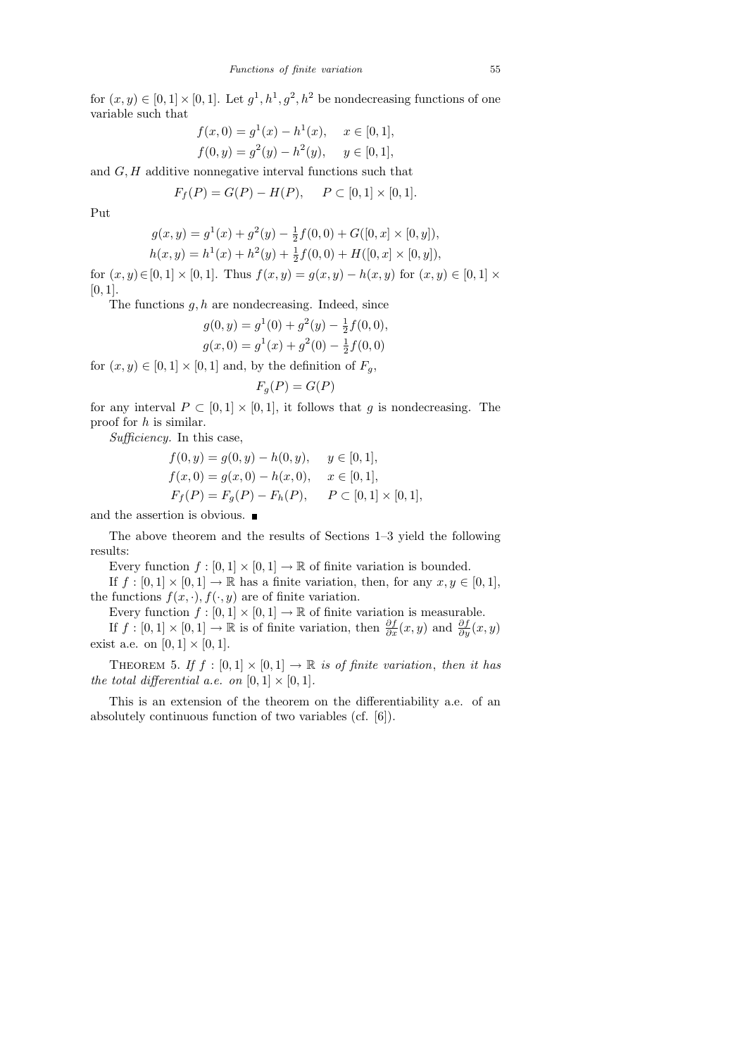for  $(x, y) \in [0, 1] \times [0, 1]$ . Let  $g^1, h^1, g^2, h^2$  be nondecreasing functions of one variable such that

$$
f(x, 0) = g1(x) - h1(x), \quad x \in [0, 1],
$$
  

$$
f(0, y) = g2(y) - h2(y), \quad y \in [0, 1],
$$

and  $G, H$  additive nonnegative interval functions such that

$$
F_f(P) = G(P) - H(P), \quad P \subset [0,1] \times [0,1].
$$

Put

$$
g(x, y) = g1(x) + g2(y) - \frac{1}{2}f(0, 0) + G([0, x] \times [0, y]),
$$
  

$$
h(x, y) = h1(x) + h2(y) + \frac{1}{2}f(0, 0) + H([0, x] \times [0, y]),
$$

for  $(x, y) \in [0, 1] \times [0, 1]$ . Thus  $f(x, y) = g(x, y) - h(x, y)$  for  $(x, y) \in [0, 1] \times$  $[0, 1]$ .

The functions  $g, h$  are nondecreasing. Indeed, since

$$
g(0, y) = g1(0) + g2(y) - \frac{1}{2}f(0, 0),
$$
  
\n
$$
g(x, 0) = g1(x) + g2(0) - \frac{1}{2}f(0, 0)
$$

for  $(x,y)\in [0,1]\times [0,1]$  and, by the definition of  $F_g,$ 

$$
F_g(P) = G(P)
$$

for any interval  $P \subset [0,1] \times [0,1]$ , it follows that g is nondecreasing. The proof for h is similar.

Sufficiency. In this case,

$$
f(0, y) = g(0, y) - h(0, y), \quad y \in [0, 1],
$$
  
\n
$$
f(x, 0) = g(x, 0) - h(x, 0), \quad x \in [0, 1],
$$
  
\n
$$
F_f(P) = F_g(P) - F_h(P), \quad P \subset [0, 1] \times [0, 1],
$$

and the assertion is obvious.  $\blacksquare$ 

The above theorem and the results of Sections 1–3 yield the following results:

Every function  $f : [0,1] \times [0,1] \to \mathbb{R}$  of finite variation is bounded.

If  $f : [0,1] \times [0,1] \to \mathbb{R}$  has a finite variation, then, for any  $x, y \in [0,1]$ , the functions  $f(x, \cdot), f(\cdot, y)$  are of finite variation.

Every function  $f : [0,1] \times [0,1] \to \mathbb{R}$  of finite variation is measurable.

If  $f : [0,1] \times [0,1] \to \mathbb{R}$  is of finite variation, then  $\frac{\partial f}{\partial x}(x, y)$  and  $\frac{\partial f}{\partial y}(x, y)$ exist a.e. on  $[0, 1] \times [0, 1]$ .

THEOREM 5. If  $f : [0,1] \times [0,1] \rightarrow \mathbb{R}$  is of finite variation, then it has the total differential a.e. on  $[0, 1] \times [0, 1]$ .

This is an extension of the theorem on the differentiability a.e. of an absolutely continuous function of two variables (cf. [6]).